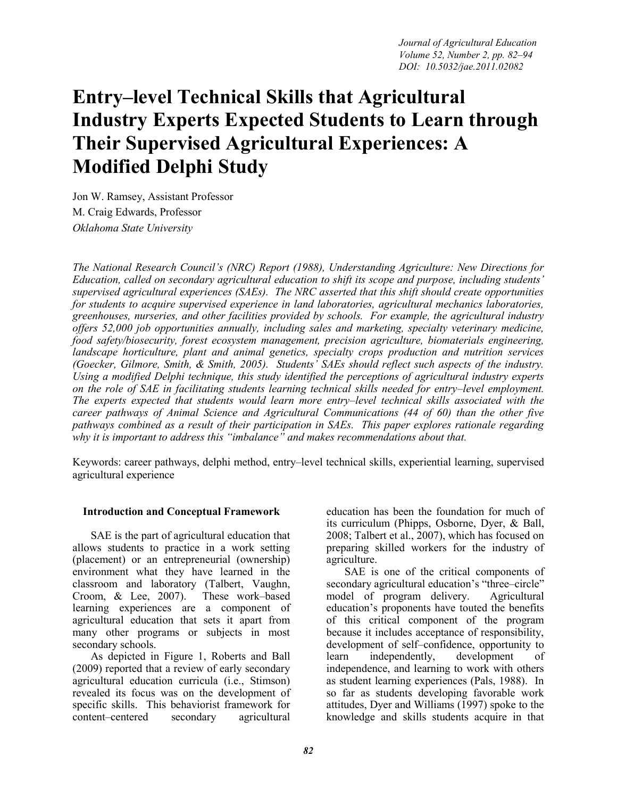# **Entry–level Technical Skills that Agricultural Industry Experts Expected Students to Learn through Their Supervised Agricultural Experiences: A Modified Delphi Study**

Jon W. Ramsey, Assistant Professor M. Craig Edwards, Professor *Oklahoma State University* 

*The National Research Council's (NRC) Report (1988), Understanding Agriculture: New Directions for Education, called on secondary agricultural education to shift its scope and purpose, including students' supervised agricultural experiences (SAEs). The NRC asserted that this shift should create opportunities for students to acquire supervised experience in land laboratories, agricultural mechanics laboratories, greenhouses, nurseries, and other facilities provided by schools. For example, the agricultural industry offers 52,000 job opportunities annually, including sales and marketing, specialty veterinary medicine, food safety/biosecurity, forest ecosystem management, precision agriculture, biomaterials engineering, landscape horticulture, plant and animal genetics, specialty crops production and nutrition services (Goecker, Gilmore, Smith, & Smith, 2005). Students' SAEs should reflect such aspects of the industry. Using a modified Delphi technique, this study identified the perceptions of agricultural industry experts on the role of SAE in facilitating students learning technical skills needed for entry–level employment. The experts expected that students would learn more entry–level technical skills associated with the career pathways of Animal Science and Agricultural Communications (44 of 60) than the other five pathways combined as a result of their participation in SAEs. This paper explores rationale regarding why it is important to address this "imbalance" and makes recommendations about that.* 

Keywords: career pathways, delphi method, entry–level technical skills, experiential learning, supervised agricultural experience

#### **Introduction and Conceptual Framework**

SAE is the part of agricultural education that allows students to practice in a work setting (placement) or an entrepreneurial (ownership) environment what they have learned in the classroom and laboratory (Talbert, Vaughn, Croom, & Lee, 2007). These work–based learning experiences are a component of agricultural education that sets it apart from many other programs or subjects in most secondary schools.

As depicted in Figure 1, Roberts and Ball (2009) reported that a review of early secondary agricultural education curricula (i.e., Stimson) revealed its focus was on the development of specific skills. This behaviorist framework for content–centered secondary agricultural

education has been the foundation for much of its curriculum (Phipps, Osborne, Dyer, & Ball, 2008; Talbert et al., 2007), which has focused on preparing skilled workers for the industry of agriculture.

SAE is one of the critical components of secondary agricultural education's "three–circle" model of program delivery. Agricultural education's proponents have touted the benefits of this critical component of the program because it includes acceptance of responsibility, development of self–confidence, opportunity to learn independently, development of independence, and learning to work with others as student learning experiences (Pals, 1988). In so far as students developing favorable work attitudes, Dyer and Williams (1997) spoke to the knowledge and skills students acquire in that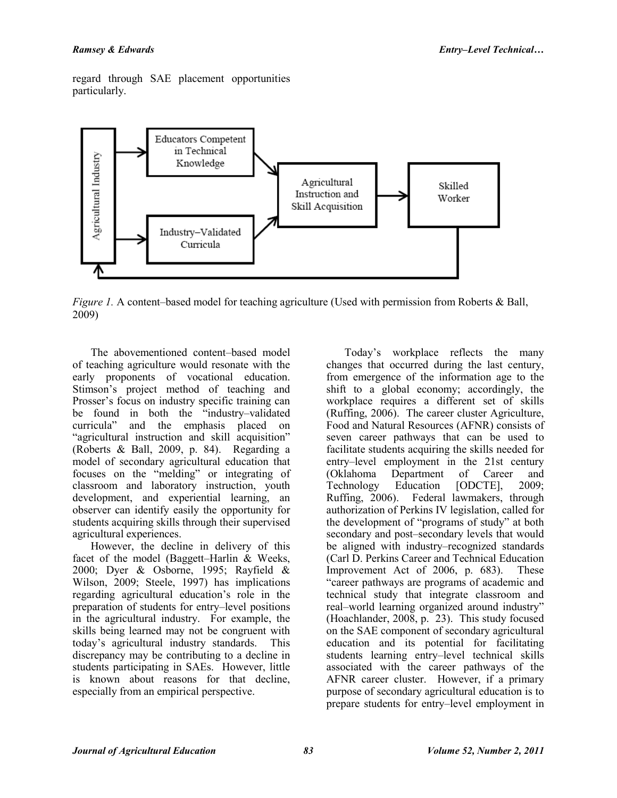regard through SAE placement opportunities particularly.



*Figure 1.* A content–based model for teaching agriculture (Used with permission from Roberts & Ball, 2009)

The abovementioned content–based model of teaching agriculture would resonate with the early proponents of vocational education. Stimson's project method of teaching and Prosser's focus on industry specific training can be found in both the "industry–validated curricula" and the emphasis placed on "agricultural instruction and skill acquisition" (Roberts & Ball, 2009, p. 84). Regarding a model of secondary agricultural education that focuses on the "melding" or integrating of classroom and laboratory instruction, youth development, and experiential learning, an observer can identify easily the opportunity for students acquiring skills through their supervised agricultural experiences.

However, the decline in delivery of this facet of the model (Baggett–Harlin & Weeks, 2000; Dyer & Osborne, 1995; Rayfield & Wilson, 2009; Steele, 1997) has implications regarding agricultural education's role in the preparation of students for entry–level positions in the agricultural industry. For example, the skills being learned may not be congruent with today's agricultural industry standards. This discrepancy may be contributing to a decline in students participating in SAEs. However, little is known about reasons for that decline, especially from an empirical perspective.

Today's workplace reflects the many changes that occurred during the last century, from emergence of the information age to the shift to a global economy; accordingly, the workplace requires a different set of skills (Ruffing, 2006). The career cluster Agriculture, Food and Natural Resources (AFNR) consists of seven career pathways that can be used to facilitate students acquiring the skills needed for entry–level employment in the 21st century (Oklahoma Department of Career and<br>Technology Education [ODCTE], 2009; Technology Education [ODCTE], 2009;<br>Ruffing 2006). Federal lawmakers, through Federal lawmakers, through authorization of Perkins IV legislation, called for the development of "programs of study" at both secondary and post–secondary levels that would be aligned with industry–recognized standards (Carl D. Perkins Career and Technical Education Improvement Act of 2006, p. 683). These "career pathways are programs of academic and technical study that integrate classroom and real–world learning organized around industry" (Hoachlander, 2008, p. 23). This study focused on the SAE component of secondary agricultural education and its potential for facilitating students learning entry–level technical skills associated with the career pathways of the AFNR career cluster. However, if a primary purpose of secondary agricultural education is to prepare students for entry–level employment in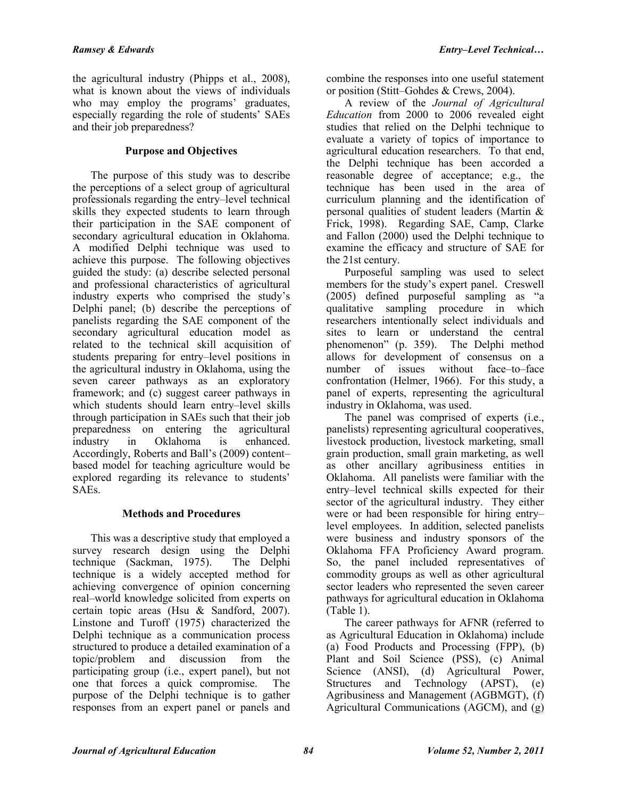the agricultural industry (Phipps et al., 2008), what is known about the views of individuals who may employ the programs' graduates, especially regarding the role of students' SAEs and their job preparedness?

#### **Purpose and Objectives**

The purpose of this study was to describe the perceptions of a select group of agricultural professionals regarding the entry–level technical skills they expected students to learn through their participation in the SAE component of secondary agricultural education in Oklahoma. A modified Delphi technique was used to achieve this purpose. The following objectives guided the study: (a) describe selected personal and professional characteristics of agricultural industry experts who comprised the study's Delphi panel; (b) describe the perceptions of panelists regarding the SAE component of the secondary agricultural education model as related to the technical skill acquisition of students preparing for entry–level positions in the agricultural industry in Oklahoma, using the seven career pathways as an exploratory framework; and (c) suggest career pathways in which students should learn entry–level skills through participation in SAEs such that their job preparedness on entering the agricultural industry in Oklahoma is enhanced. Accordingly, Roberts and Ball's (2009) content– based model for teaching agriculture would be explored regarding its relevance to students' **SAEs**.

## **Methods and Procedures**

This was a descriptive study that employed a survey research design using the Delphi technique (Sackman, 1975). The Delphi technique is a widely accepted method for achieving convergence of opinion concerning real–world knowledge solicited from experts on certain topic areas (Hsu & Sandford, 2007). Linstone and Turoff (1975) characterized the Delphi technique as a communication process structured to produce a detailed examination of a topic/problem and discussion from the participating group (i.e., expert panel), but not one that forces a quick compromise. The purpose of the Delphi technique is to gather responses from an expert panel or panels and

combine the responses into one useful statement or position (Stitt–Gohdes & Crews, 2004).

A review of the *Journal of Agricultural Education* from 2000 to 2006 revealed eight studies that relied on the Delphi technique to evaluate a variety of topics of importance to agricultural education researchers. To that end, the Delphi technique has been accorded a reasonable degree of acceptance; e.g., the technique has been used in the area of curriculum planning and the identification of personal qualities of student leaders (Martin & Frick, 1998). Regarding SAE, Camp, Clarke and Fallon (2000) used the Delphi technique to examine the efficacy and structure of SAE for the 21st century.

Purposeful sampling was used to select members for the study's expert panel. Creswell (2005) defined purposeful sampling as "a qualitative sampling procedure in which researchers intentionally select individuals and sites to learn or understand the central phenomenon" (p. 359). The Delphi method allows for development of consensus on a number of issues without face–to–face confrontation (Helmer, 1966). For this study, a panel of experts, representing the agricultural industry in Oklahoma, was used.

The panel was comprised of experts (*i.e.*, panelists) representing agricultural cooperatives, livestock production, livestock marketing, small grain production, small grain marketing, as well as other ancillary agribusiness entities in Oklahoma. All panelists were familiar with the entry–level technical skills expected for their sector of the agricultural industry. They either were or had been responsible for hiring entry– level employees. In addition, selected panelists were business and industry sponsors of the Oklahoma FFA Proficiency Award program. So, the panel included representatives of commodity groups as well as other agricultural sector leaders who represented the seven career pathways for agricultural education in Oklahoma (Table 1).

The career pathways for AFNR (referred to as Agricultural Education in Oklahoma) include (a) Food Products and Processing (FPP), (b) Plant and Soil Science (PSS), (c) Animal Science (ANSI), (d) Agricultural Power, Structures and Technology (APST), (e) Agribusiness and Management (AGBMGT), (f) Agricultural Communications (AGCM), and (g)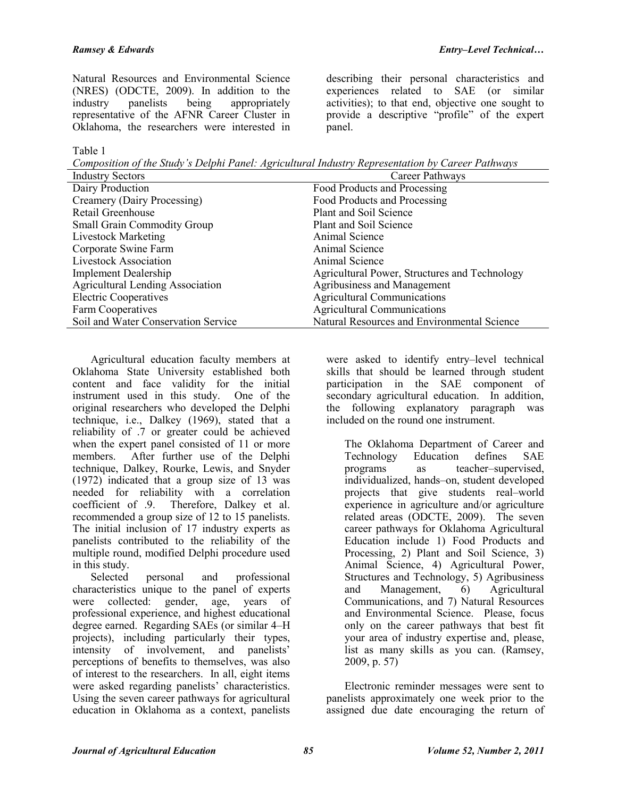describing their personal characteristics and experiences related to SAE (or similar activities); to that end, objective one sought to provide a descriptive "profile" of the expert

Natural Resources and Environmental Science (NRES) (ODCTE, 2009). In addition to the industry panelists being appropriately representative of the AFNR Career Cluster in Oklahoma, the researchers were interested in

Table 1

*Composition of the Study's Delphi Panel: Agricultural Industry Representation by Career Pathways* 

panel.

| <b>Industry Sectors</b>                 | Career Pathways                               |
|-----------------------------------------|-----------------------------------------------|
| Dairy Production                        | Food Products and Processing                  |
| Creamery (Dairy Processing)             | Food Products and Processing                  |
| Retail Greenhouse                       | Plant and Soil Science                        |
| <b>Small Grain Commodity Group</b>      | Plant and Soil Science                        |
| <b>Livestock Marketing</b>              | Animal Science                                |
| Corporate Swine Farm                    | Animal Science                                |
| <b>Livestock Association</b>            | Animal Science                                |
| <b>Implement Dealership</b>             | Agricultural Power, Structures and Technology |
| <b>Agricultural Lending Association</b> | Agribusiness and Management                   |
| <b>Electric Cooperatives</b>            | <b>Agricultural Communications</b>            |
| Farm Cooperatives                       | <b>Agricultural Communications</b>            |
| Soil and Water Conservation Service     | Natural Resources and Environmental Science   |
|                                         |                                               |

Agricultural education faculty members at Oklahoma State University established both content and face validity for the initial instrument used in this study. One of the original researchers who developed the Delphi technique, i.e., Dalkey (1969), stated that a reliability of .7 or greater could be achieved when the expert panel consisted of 11 or more members. After further use of the Delphi technique, Dalkey, Rourke, Lewis, and Snyder (1972) indicated that a group size of 13 was needed for reliability with a correlation coefficient of .9. Therefore, Dalkey et al. recommended a group size of 12 to 15 panelists. The initial inclusion of 17 industry experts as panelists contributed to the reliability of the multiple round, modified Delphi procedure used in this study.

Selected personal and professional characteristics unique to the panel of experts were collected: gender, age, years of professional experience, and highest educational degree earned. Regarding SAEs (or similar 4–H projects), including particularly their types, intensity of involvement, and panelists' perceptions of benefits to themselves, was also of interest to the researchers. In all, eight items were asked regarding panelists' characteristics. Using the seven career pathways for agricultural education in Oklahoma as a context, panelists

were asked to identify entry–level technical skills that should be learned through student participation in the SAE component of secondary agricultural education. In addition, the following explanatory paragraph was included on the round one instrument.

The Oklahoma Department of Career and Technology Education defines SAE programs as teacher–supervised, individualized, hands–on, student developed projects that give students real–world experience in agriculture and/or agriculture related areas (ODCTE, 2009). The seven career pathways for Oklahoma Agricultural Education include 1) Food Products and Processing, 2) Plant and Soil Science, 3) Animal Science, 4) Agricultural Power, Structures and Technology, 5) Agribusiness and Management, 6) Agricultural Communications, and 7) Natural Resources and Environmental Science. Please, focus only on the career pathways that best fit your area of industry expertise and, please, list as many skills as you can. (Ramsey, 2009, p. 57)

Electronic reminder messages were sent to panelists approximately one week prior to the assigned due date encouraging the return of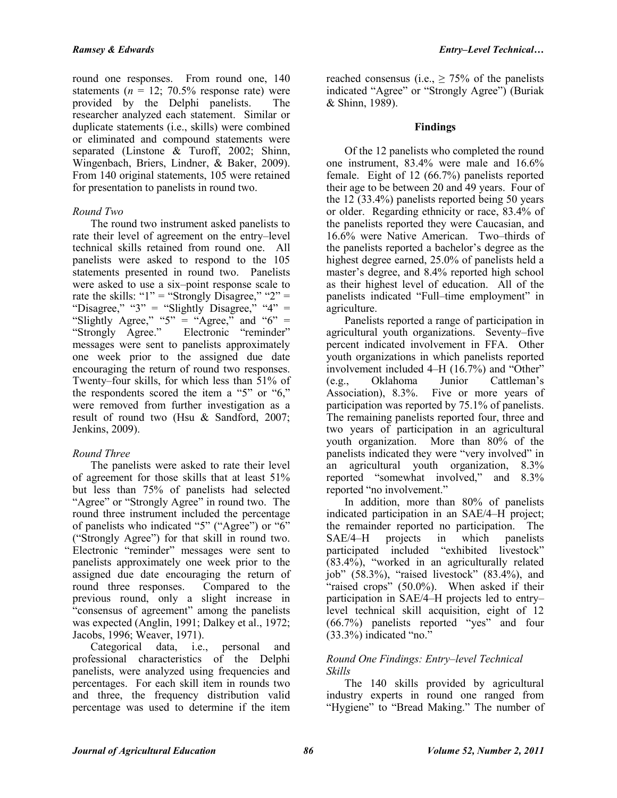round one responses. From round one, 140 statements ( $n = 12$ ; 70.5% response rate) were provided by the Delphi panelists. The researcher analyzed each statement. Similar or duplicate statements (i.e., skills) were combined or eliminated and compound statements were separated (Linstone & Turoff, 2002; Shinn, Wingenbach, Briers, Lindner, & Baker, 2009). From 140 original statements, 105 were retained for presentation to panelists in round two.

#### *Round Two*

The round two instrument asked panelists to rate their level of agreement on the entry–level technical skills retained from round one. All panelists were asked to respond to the 105 statements presented in round two. Panelists were asked to use a six–point response scale to rate the skills: " $1" =$  "Strongly Disagree," " $2" =$ "Disagree," "3" = "Slightly Disagree," "4" = "Slightly Agree," "5" = "Agree," and "6" = "Strongly Agree." Electronic "reminder" Electronic "reminder" messages were sent to panelists approximately one week prior to the assigned due date encouraging the return of round two responses. Twenty–four skills, for which less than 51% of the respondents scored the item a "5" or "6," were removed from further investigation as a result of round two (Hsu & Sandford, 2007; Jenkins, 2009).

## *Round Three*

The panelists were asked to rate their level of agreement for those skills that at least 51% but less than 75% of panelists had selected "Agree" or "Strongly Agree" in round two. The round three instrument included the percentage of panelists who indicated "5" ("Agree") or "6" ("Strongly Agree") for that skill in round two. Electronic "reminder" messages were sent to panelists approximately one week prior to the assigned due date encouraging the return of round three responses. Compared to the previous round, only a slight increase in "consensus of agreement" among the panelists was expected (Anglin, 1991; Dalkey et al., 1972; Jacobs, 1996; Weaver, 1971).

Categorical data, i.e., personal and professional characteristics of the Delphi panelists, were analyzed using frequencies and percentages. For each skill item in rounds two and three, the frequency distribution valid percentage was used to determine if the item

reached consensus (i.e.,  $\geq$  75% of the panelists indicated "Agree" or "Strongly Agree") (Buriak & Shinn, 1989).

#### **Findings**

Of the 12 panelists who completed the round one instrument, 83.4% were male and 16.6% female. Eight of 12 (66.7%) panelists reported their age to be between 20 and 49 years. Four of the 12 (33.4%) panelists reported being 50 years or older. Regarding ethnicity or race, 83.4% of the panelists reported they were Caucasian, and 16.6% were Native American. Two–thirds of the panelists reported a bachelor's degree as the highest degree earned, 25.0% of panelists held a master's degree, and 8.4% reported high school as their highest level of education. All of the panelists indicated "Full–time employment" in agriculture.

Panelists reported a range of participation in agricultural youth organizations. Seventy–five percent indicated involvement in FFA. Other youth organizations in which panelists reported involvement included 4–H (16.7%) and "Other" (e.g., Oklahoma Junior Cattleman's Five or more years of participation was reported by 75.1% of panelists. The remaining panelists reported four, three and two years of participation in an agricultural youth organization. More than 80% of the panelists indicated they were "very involved" in an agricultural youth organization, 8.3% reported "somewhat involved," and 8.3% reported "no involvement."

In addition, more than 80% of panelists indicated participation in an SAE/4–H project; the remainder reported no participation. The SAE/4–H projects in which panelists participated included "exhibited livestock" (83.4%), "worked in an agriculturally related job" (58.3%), "raised livestock" (83.4%), and "raised crops" (50.0%). When asked if their participation in SAE/4–H projects led to entry– level technical skill acquisition, eight of 12 (66.7%) panelists reported "yes" and four (33.3%) indicated "no."

#### *Round One Findings: Entry–level Technical Skills*

The 140 skills provided by agricultural industry experts in round one ranged from "Hygiene" to "Bread Making." The number of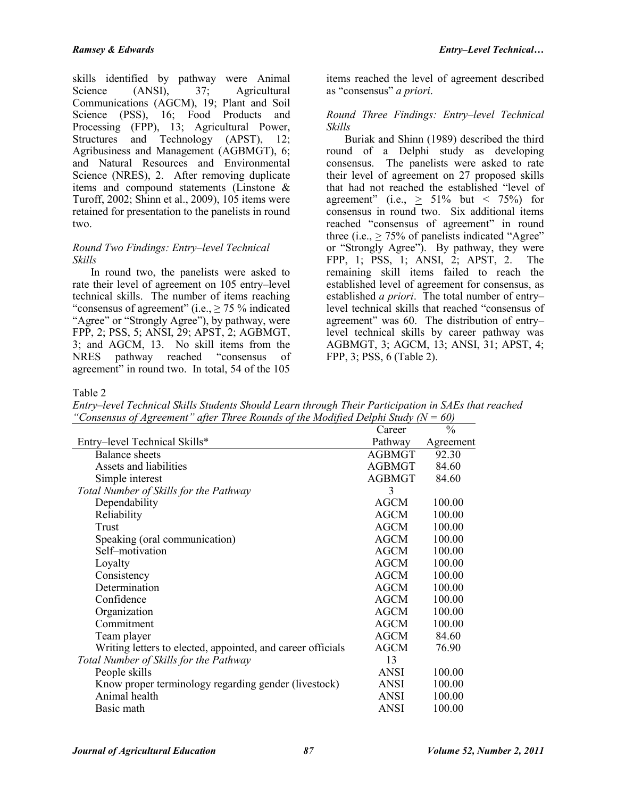skills identified by pathway were Animal Science (ANSI), 37; Agricultural Communications (AGCM), 19; Plant and Soil Science (PSS), 16; Food Products and Processing (FPP), 13; Agricultural Power, Structures and Technology (APST), 12; Agribusiness and Management (AGBMGT), 6; and Natural Resources and Environmental Science (NRES), 2. After removing duplicate items and compound statements (Linstone & Turoff, 2002; Shinn et al., 2009), 105 items were retained for presentation to the panelists in round two.

## *Round Two Findings: Entry–level Technical Skills*

In round two, the panelists were asked to rate their level of agreement on 105 entry–level technical skills. The number of items reaching "consensus of agreement" (i.e.,  $\geq$  75 % indicated "Agree" or "Strongly Agree"), by pathway, were FPP, 2; PSS, 5; ANSI, 29; APST, 2; AGBMGT, 3; and AGCM, 13. No skill items from the NRES pathway reached "consensus of agreement" in round two. In total, 54 of the 105

items reached the level of agreement described as "consensus" *a priori*.

#### *Round Three Findings: Entry–level Technical Skills*

Buriak and Shinn (1989) described the third round of a Delphi study as developing consensus. The panelists were asked to rate their level of agreement on 27 proposed skills that had not reached the established "level of agreement" (i.e.,  $\geq 51\%$  but < 75%) for consensus in round two. Six additional items reached "consensus of agreement" in round three (i.e.,  $> 75\%$  of panelists indicated "Agree" or "Strongly Agree"). By pathway, they were FPP, 1; PSS, 1; ANSI, 2; APST, 2. The remaining skill items failed to reach the established level of agreement for consensus, as established *a priori*. The total number of entry– level technical skills that reached "consensus of agreement" was 60. The distribution of entry– level technical skills by career pathway was AGBMGT, 3; AGCM, 13; ANSI, 31; APST, 4; FPP, 3; PSS, 6 (Table 2).

Table 2

*Entry–level Technical Skills Students Should Learn through Their Participation in SAEs that reached "Consensus of Agreement" after Three Rounds of the Modified Delphi Study (N = 60)*

|                                                             | Career        | $\frac{0}{0}$ |
|-------------------------------------------------------------|---------------|---------------|
| Entry-level Technical Skills*                               | Pathway       | Agreement     |
| <b>Balance</b> sheets                                       | <b>AGBMGT</b> | 92.30         |
| Assets and liabilities                                      | <b>AGBMGT</b> | 84.60         |
| Simple interest                                             | <b>AGBMGT</b> | 84.60         |
| Total Number of Skills for the Pathway                      | 3             |               |
| Dependability                                               | <b>AGCM</b>   | 100.00        |
| Reliability                                                 | <b>AGCM</b>   | 100.00        |
| Trust                                                       | <b>AGCM</b>   | 100.00        |
| Speaking (oral communication)                               | <b>AGCM</b>   | 100.00        |
| Self-motivation                                             | <b>AGCM</b>   | 100.00        |
| Loyalty                                                     | <b>AGCM</b>   | 100.00        |
| Consistency                                                 | <b>AGCM</b>   | 100.00        |
| Determination                                               | <b>AGCM</b>   | 100.00        |
| Confidence                                                  | AGCM          | 100.00        |
| Organization                                                | AGCM          | 100.00        |
| Commitment                                                  | <b>AGCM</b>   | 100.00        |
| Team player                                                 | <b>AGCM</b>   | 84.60         |
| Writing letters to elected, appointed, and career officials | <b>AGCM</b>   | 76.90         |
| Total Number of Skills for the Pathway                      | 13            |               |
| People skills                                               | <b>ANSI</b>   | 100.00        |
| Know proper terminology regarding gender (livestock)        | <b>ANSI</b>   | 100.00        |
| Animal health                                               | <b>ANSI</b>   | 100.00        |
| Basic math                                                  | <b>ANSI</b>   | 100.00        |
|                                                             |               |               |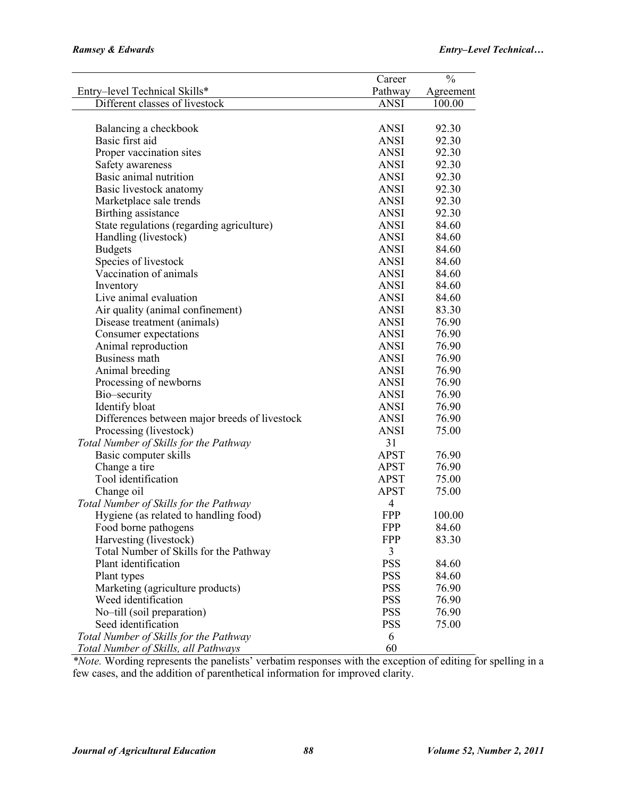|                                               | Career      | $\frac{0}{0}$ |
|-----------------------------------------------|-------------|---------------|
| Entry-level Technical Skills*                 | Pathway     | Agreement     |
| Different classes of livestock                | <b>ANSI</b> | 100.00        |
|                                               |             |               |
| Balancing a checkbook                         | <b>ANSI</b> | 92.30         |
| Basic first aid                               | <b>ANSI</b> | 92.30         |
| Proper vaccination sites                      | <b>ANSI</b> | 92.30         |
| Safety awareness                              | <b>ANSI</b> | 92.30         |
| Basic animal nutrition                        | <b>ANSI</b> | 92.30         |
| Basic livestock anatomy                       | <b>ANSI</b> | 92.30         |
| Marketplace sale trends                       | <b>ANSI</b> | 92.30         |
| Birthing assistance                           | <b>ANSI</b> | 92.30         |
| State regulations (regarding agriculture)     | <b>ANSI</b> | 84.60         |
| Handling (livestock)                          | <b>ANSI</b> | 84.60         |
| <b>Budgets</b>                                | <b>ANSI</b> | 84.60         |
| Species of livestock                          | <b>ANSI</b> | 84.60         |
| Vaccination of animals                        | <b>ANSI</b> | 84.60         |
| Inventory                                     | <b>ANSI</b> | 84.60         |
| Live animal evaluation                        | <b>ANSI</b> | 84.60         |
| Air quality (animal confinement)              | <b>ANSI</b> | 83.30         |
| Disease treatment (animals)                   | <b>ANSI</b> | 76.90         |
| Consumer expectations                         | <b>ANSI</b> | 76.90         |
| Animal reproduction                           | <b>ANSI</b> | 76.90         |
| Business math                                 | <b>ANSI</b> | 76.90         |
| Animal breeding                               | <b>ANSI</b> | 76.90         |
| Processing of newborns                        | <b>ANSI</b> | 76.90         |
| Bio-security                                  | <b>ANSI</b> | 76.90         |
| Identify bloat                                | <b>ANSI</b> | 76.90         |
| Differences between major breeds of livestock | <b>ANSI</b> | 76.90         |
| Processing (livestock)                        | <b>ANSI</b> | 75.00         |
| Total Number of Skills for the Pathway        | 31          |               |
| Basic computer skills                         | <b>APST</b> | 76.90         |
| Change a tire                                 | <b>APST</b> | 76.90         |
| Tool identification                           | <b>APST</b> | 75.00         |
| Change oil                                    | <b>APST</b> | 75.00         |
| Total Number of Skills for the Pathway        | 4           |               |
| Hygiene (as related to handling food)         | <b>FPP</b>  | 100.00        |
| Food borne pathogens                          | <b>FPP</b>  | 84.60         |
| Harvesting (livestock)                        | <b>FPP</b>  | 83.30         |
| Total Number of Skills for the Pathway        | 3           |               |
| Plant identification                          | <b>PSS</b>  | 84.60         |
| Plant types                                   | <b>PSS</b>  | 84.60         |
| Marketing (agriculture products)              | <b>PSS</b>  | 76.90         |
| Weed identification                           | <b>PSS</b>  | 76.90         |
| No-till (soil preparation)                    | <b>PSS</b>  | 76.90         |
| Seed identification                           | <b>PSS</b>  | 75.00         |
| Total Number of Skills for the Pathway        | 6           |               |
| Total Number of Skills, all Pathways          | 60          |               |
|                                               |             |               |

*\*Note.* Wording represents the panelists' verbatim responses with the exception of editing for spelling in a few cases, and the addition of parenthetical information for improved clarity.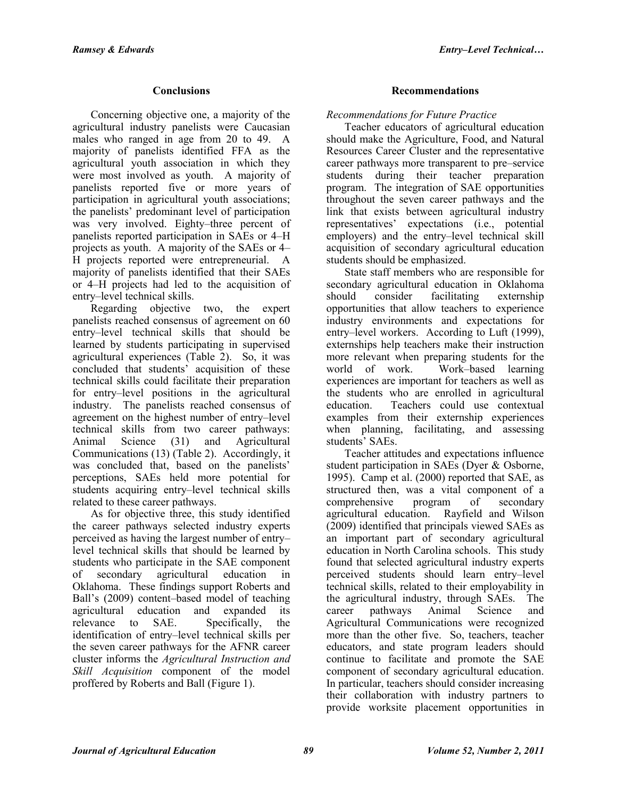# **Conclusions**

Concerning objective one, a majority of the agricultural industry panelists were Caucasian males who ranged in age from 20 to 49. A majority of panelists identified FFA as the agricultural youth association in which they were most involved as youth. A majority of panelists reported five or more years of participation in agricultural youth associations; the panelists' predominant level of participation was very involved. Eighty–three percent of panelists reported participation in SAEs or 4–H projects as youth. A majority of the SAEs or 4– H projects reported were entrepreneurial. A majority of panelists identified that their SAEs or 4–H projects had led to the acquisition of entry–level technical skills.

Regarding objective two, the expert panelists reached consensus of agreement on 60 entry–level technical skills that should be learned by students participating in supervised agricultural experiences (Table 2). So, it was concluded that students' acquisition of these technical skills could facilitate their preparation for entry–level positions in the agricultural industry. The panelists reached consensus of agreement on the highest number of entry–level technical skills from two career pathways: Animal Science (31) and Agricultural Communications (13) (Table 2). Accordingly, it was concluded that, based on the panelists' perceptions, SAEs held more potential for students acquiring entry–level technical skills related to these career pathways.

As for objective three, this study identified the career pathways selected industry experts perceived as having the largest number of entry– level technical skills that should be learned by students who participate in the SAE component of secondary agricultural education in Oklahoma. These findings support Roberts and Ball's (2009) content–based model of teaching agricultural education and expanded its relevance to SAE. Specifically, the identification of entry–level technical skills per the seven career pathways for the AFNR career cluster informs the *Agricultural Instruction and Skill Acquisition* component of the model proffered by Roberts and Ball (Figure 1).

# **Recommendations**

*Recommendations for Future Practice* 

Teacher educators of agricultural education should make the Agriculture, Food, and Natural Resources Career Cluster and the representative career pathways more transparent to pre–service students during their teacher preparation program. The integration of SAE opportunities throughout the seven career pathways and the link that exists between agricultural industry representatives' expectations (i.e., potential employers) and the entry–level technical skill acquisition of secondary agricultural education students should be emphasized.

State staff members who are responsible for secondary agricultural education in Oklahoma should consider facilitating externship opportunities that allow teachers to experience industry environments and expectations for entry–level workers. According to Luft (1999), externships help teachers make their instruction more relevant when preparing students for the world of work. Work–based learning experiences are important for teachers as well as the students who are enrolled in agricultural education. Teachers could use contextual examples from their externship experiences when planning, facilitating, and assessing students' SAEs.

Teacher attitudes and expectations influence student participation in SAEs (Dyer & Osborne, 1995). Camp et al. (2000) reported that SAE, as structured then, was a vital component of a comprehensive program of secondary agricultural education. Rayfield and Wilson (2009) identified that principals viewed SAEs as an important part of secondary agricultural education in North Carolina schools. This study found that selected agricultural industry experts perceived students should learn entry–level technical skills, related to their employability in the agricultural industry, through SAEs. The career pathways Animal Science and Agricultural Communications were recognized more than the other five. So, teachers, teacher educators, and state program leaders should continue to facilitate and promote the SAE component of secondary agricultural education. In particular, teachers should consider increasing their collaboration with industry partners to provide worksite placement opportunities in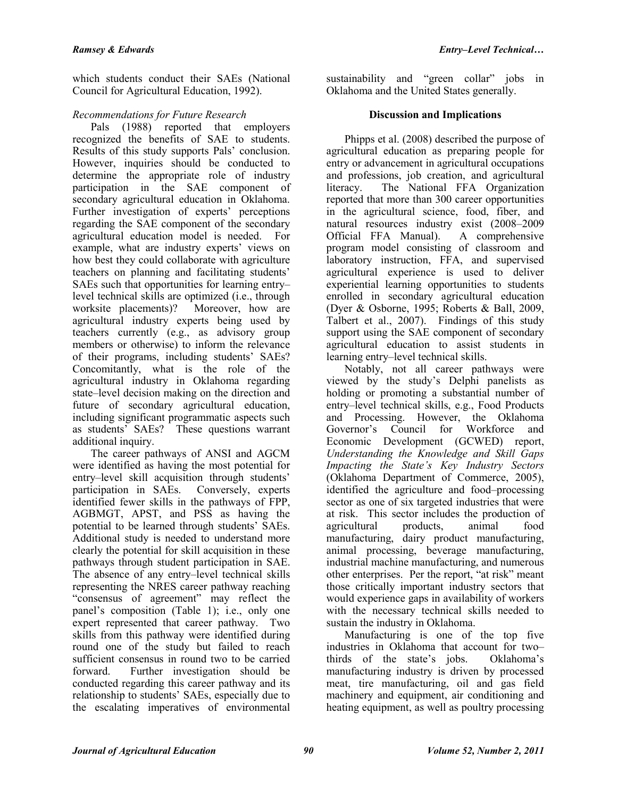which students conduct their SAEs (National Council for Agricultural Education, 1992).

# *Recommendations for Future Research*

Pals (1988) reported that employers recognized the benefits of SAE to students. Results of this study supports Pals' conclusion. However, inquiries should be conducted to determine the appropriate role of industry participation in the SAE component of secondary agricultural education in Oklahoma. Further investigation of experts' perceptions regarding the SAE component of the secondary agricultural education model is needed. For example, what are industry experts' views on how best they could collaborate with agriculture teachers on planning and facilitating students' SAEs such that opportunities for learning entry– level technical skills are optimized (i.e., through worksite placements)? Moreover, how are agricultural industry experts being used by teachers currently (e.g., as advisory group members or otherwise) to inform the relevance of their programs, including students' SAEs? Concomitantly, what is the role of the agricultural industry in Oklahoma regarding state–level decision making on the direction and future of secondary agricultural education, including significant programmatic aspects such as students' SAEs? These questions warrant additional inquiry.

The career pathways of ANSI and AGCM were identified as having the most potential for entry–level skill acquisition through students' participation in SAEs. Conversely, experts identified fewer skills in the pathways of FPP, AGBMGT, APST, and PSS as having the potential to be learned through students' SAEs. Additional study is needed to understand more clearly the potential for skill acquisition in these pathways through student participation in SAE. The absence of any entry–level technical skills representing the NRES career pathway reaching "consensus of agreement" may reflect the panel's composition (Table 1); i.e., only one expert represented that career pathway. Two skills from this pathway were identified during round one of the study but failed to reach sufficient consensus in round two to be carried forward. Further investigation should be conducted regarding this career pathway and its relationship to students' SAEs, especially due to the escalating imperatives of environmental

sustainability and "green collar" jobs in Oklahoma and the United States generally.

#### **Discussion and Implications**

Phipps et al. (2008) described the purpose of agricultural education as preparing people for entry or advancement in agricultural occupations and professions, job creation, and agricultural literacy. The National FFA Organization reported that more than 300 career opportunities in the agricultural science, food, fiber, and natural resources industry exist (2008–2009 Official FFA Manual). A comprehensive program model consisting of classroom and laboratory instruction, FFA, and supervised agricultural experience is used to deliver experiential learning opportunities to students enrolled in secondary agricultural education (Dyer & Osborne, 1995; Roberts & Ball, 2009, Talbert et al., 2007). Findings of this study support using the SAE component of secondary agricultural education to assist students in learning entry–level technical skills.

Notably, not all career pathways were viewed by the study's Delphi panelists as holding or promoting a substantial number of entry–level technical skills, e.g., Food Products and Processing. However, the Oklahoma Governor's Council for Workforce and Economic Development (GCWED) report, *Understanding the Knowledge and Skill Gaps Impacting the State's Key Industry Sectors*  (Oklahoma Department of Commerce, 2005), identified the agriculture and food–processing sector as one of six targeted industries that were at risk. This sector includes the production of agricultural products, animal food manufacturing, dairy product manufacturing, animal processing, beverage manufacturing, industrial machine manufacturing, and numerous other enterprises. Per the report, "at risk" meant those critically important industry sectors that would experience gaps in availability of workers with the necessary technical skills needed to sustain the industry in Oklahoma.

Manufacturing is one of the top five industries in Oklahoma that account for two– thirds of the state's jobs. Oklahoma's manufacturing industry is driven by processed meat, tire manufacturing, oil and gas field machinery and equipment, air conditioning and heating equipment, as well as poultry processing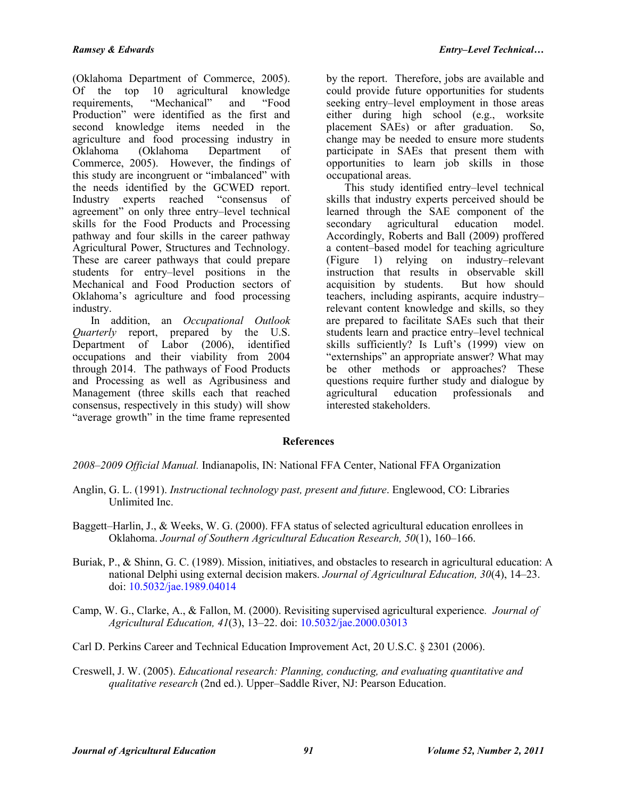(Oklahoma Department of Commerce, 2005). Of the top 10 agricultural knowledge<br>requirements. "Mechanical" and "Food requirements, "Mechanical" and "Food Production" were identified as the first and second knowledge items needed in the agriculture and food processing industry in Oklahoma (Oklahoma Department of Commerce, 2005). However, the findings of this study are incongruent or "imbalanced" with the needs identified by the GCWED report. Industry experts reached "consensus of agreement" on only three entry–level technical skills for the Food Products and Processing pathway and four skills in the career pathway Agricultural Power, Structures and Technology. These are career pathways that could prepare students for entry–level positions in the Mechanical and Food Production sectors of Oklahoma's agriculture and food processing industry.

In addition, an *Occupational Outlook Quarterly* report, prepared by the U.S. Department of Labor (2006), identified occupations and their viability from 2004 through 2014. The pathways of Food Products and Processing as well as Agribusiness and Management (three skills each that reached consensus, respectively in this study) will show "average growth" in the time frame represented

by the report. Therefore, jobs are available and could provide future opportunities for students seeking entry–level employment in those areas either during high school (e.g., worksite placement SAEs) or after graduation. So, change may be needed to ensure more students participate in SAEs that present them with opportunities to learn job skills in those occupational areas.

This study identified entry–level technical skills that industry experts perceived should be learned through the SAE component of the secondary agricultural education model. Accordingly, Roberts and Ball (2009) proffered a content–based model for teaching agriculture (Figure 1) relying on industry–relevant instruction that results in observable skill acquisition by students. But how should teachers, including aspirants, acquire industry– relevant content knowledge and skills, so they are prepared to facilitate SAEs such that their students learn and practice entry–level technical skills sufficiently? Is Luft's (1999) view on "externships" an appropriate answer? What may be other methods or approaches? These questions require further study and dialogue by agricultural education professionals and interested stakeholders.

## **References**

*2008–2009 Official Manual.* Indianapolis, IN: National FFA Center, National FFA Organization

- Anglin, G. L. (1991). *Instructional technology past, present and future*. Englewood, CO: Libraries Unlimited Inc.
- Baggett–Harlin, J., & Weeks, W. G. (2000). FFA status of selected agricultural education enrollees in Oklahoma. *Journal of Southern Agricultural Education Research, 50*(1), 160–166.
- Buriak, P., & Shinn, G. C. (1989). Mission, initiatives, and obstacles to research in agricultural education: A national Delphi using external decision makers. *Journal of Agricultural Education, 30*(4), 14–23. doi: [10.5032/jae.1989.04014](http://dx.doi.org/10.5032/jae.1989.04014)
- Camp, W. G., Clarke, A., & Fallon, M. (2000). Revisiting supervised agricultural experience*. Journal of Agricultural Education, 41*(3), 13–22. doi: [10.5032/jae.2000.03013](http://dx.doi.org/10.5032/jae.2000.03013)
- Carl D. Perkins Career and Technical Education Improvement Act, 20 U.S.C. § 2301 (2006).
- Creswell, J. W. (2005). *Educational research: Planning, conducting, and evaluating quantitative and qualitative research* (2nd ed.). Upper–Saddle River, NJ: Pearson Education.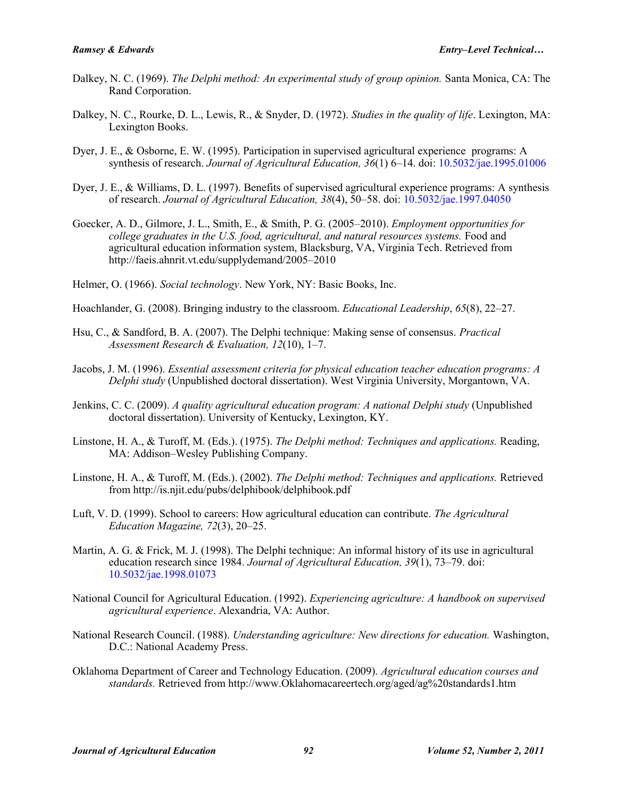- Dalkey, N. C. (1969). *The Delphi method: An experimental study of group opinion.* Santa Monica, CA: The Rand Corporation.
- Dalkey, N. C., Rourke, D. L., Lewis, R., & Snyder, D. (1972). *Studies in the quality of life*. Lexington, MA: Lexington Books.
- Dyer, J. E., & Osborne, E. W. (1995). Participation in supervised agricultural experience programs: A synthesis of research. *Journal of Agricultural Education, 36*(1) 6–14. doi: [10.5032/jae.1995.01006](http://dx.doi.org/10.5032/jae.1995.01006)
- Dyer, J. E., & Williams, D. L. (1997). Benefits of supervised agricultural experience programs: A synthesis of research. *Journal of Agricultural Education, 38*(4), 50–58. doi: [10.5032/jae.1997.04050](http://dx.doi.org/10.5032/jae.1997.04050)
- Goecker, A. D., Gilmore, J. L., Smith, E., & Smith, P. G. (2005–2010). *Employment opportunities for college graduates in the U.S. food, agricultural, and natural resources systems.* Food and agricultural education information system, Blacksburg, VA, Virginia Tech. Retrieved from http://faeis.ahnrit.vt.edu/supplydemand/2005–2010
- Helmer, O. (1966). *Social technology*. New York, NY: Basic Books, Inc.
- Hoachlander, G. (2008). Bringing industry to the classroom. *Educational Leadership*, *65*(8), 22–27.
- Hsu, C., & Sandford, B. A. (2007). The Delphi technique: Making sense of consensus. *Practical Assessment Research & Evaluation, 12*(10), 1–7.
- Jacobs, J. M. (1996). *Essential assessment criteria for physical education teacher education programs: A Delphi study* (Unpublished doctoral dissertation). West Virginia University, Morgantown, VA.
- Jenkins, C. C. (2009). *A quality agricultural education program: A national Delphi study* (Unpublished doctoral dissertation). University of Kentucky, Lexington, KY.
- Linstone, H. A., & Turoff, M. (Eds.). (1975). *The Delphi method: Techniques and applications.* Reading, MA: Addison–Wesley Publishing Company.
- Linstone, H. A., & Turoff, M. (Eds.). (2002). *The Delphi method: Techniques and applications.* Retrieved from http://is.njit.edu/pubs/delphibook/delphibook.pdf
- Luft, V. D. (1999). School to careers: How agricultural education can contribute. *The Agricultural Education Magazine, 72*(3), 20–25.
- Martin, A. G. & Frick, M. J. (1998). The Delphi technique: An informal history of its use in agricultural education research since 1984. *Journal of Agricultural Education, 39*(1), 73–79. doi: [10.5032/jae.1998.01073](http://dx.doi.org/10.5032/jae.1998.01073)
- National Council for Agricultural Education. (1992). *Experiencing agriculture: A handbook on supervised agricultural experience*. Alexandria, VA: Author.
- National Research Council. (1988). *Understanding agriculture: New directions for education.* Washington, D.C.: National Academy Press.
- Oklahoma Department of Career and Technology Education. (2009). *Agricultural education courses and standards.* Retrieved from http://www.Oklahomacareertech.org/aged/ag%20standards1.htm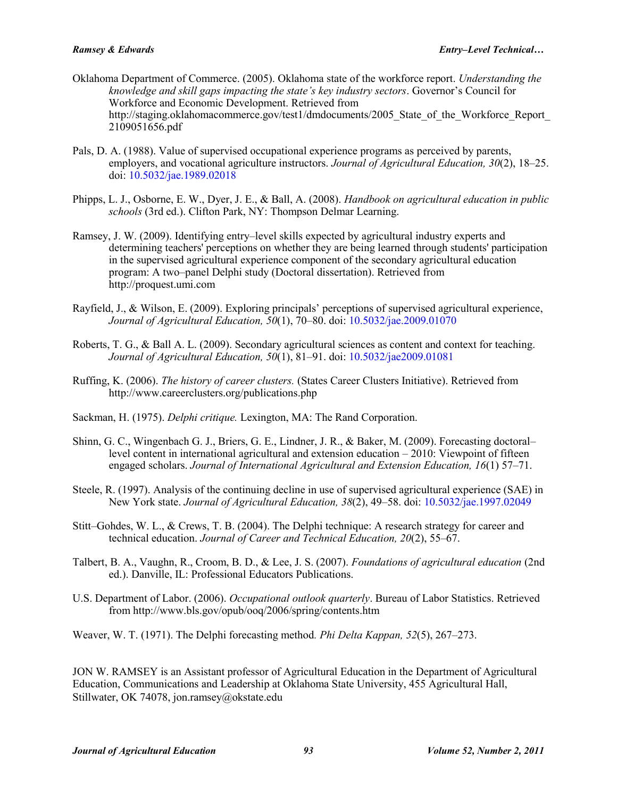- Oklahoma Department of Commerce. (2005). Oklahoma state of the workforce report. *Understanding the knowledge and skill gaps impacting the state's key industry sectors*. Governor's Council for Workforce and Economic Development. Retrieved from http://staging.oklahomacommerce.gov/test1/dmdocuments/2005 State of the Workforce Report 2109051656.pdf
- Pals, D. A. (1988). Value of supervised occupational experience programs as perceived by parents, employers, and vocational agriculture instructors. *Journal of Agricultural Education, 30*(2), 18–25. doi: [10.5032/jae.1989.02018](http://dx.doi.org/10.5032/jae.1989.02018)
- Phipps, L. J., Osborne, E. W., Dyer, J. E., & Ball, A. (2008). *Handbook on agricultural education in public schools* (3rd ed.). Clifton Park, NY: Thompson Delmar Learning.
- Ramsey, J. W. (2009). Identifying entry–level skills expected by agricultural industry experts and determining teachers' perceptions on whether they are being learned through students' participation in the supervised agricultural experience component of the secondary agricultural education program: A two–panel Delphi study (Doctoral dissertation). Retrieved from http://proquest.umi.com
- Rayfield, J., & Wilson, E. (2009). Exploring principals' perceptions of supervised agricultural experience, *Journal of Agricultural Education, 50*(1), 70–80. doi: [10.5032/jae.2009.01070](http://dx.doi.org/10.5032/jae.2009.01070)
- Roberts, T. G., & Ball A. L. (2009). Secondary agricultural sciences as content and context for teaching. *Journal of Agricultural Education, 50*(1), 81–91. doi: [10.5032/jae2009.01081](http://dx.doi.org/10.5032/jae2009.01081)
- Ruffing, K. (2006). *The history of career clusters.* (States Career Clusters Initiative). Retrieved from http://www.careerclusters.org/publications.php
- Sackman, H. (1975). *Delphi critique.* Lexington, MA: The Rand Corporation.
- Shinn, G. C., Wingenbach G. J., Briers, G. E., Lindner, J. R., & Baker, M. (2009). Forecasting doctoral– level content in international agricultural and extension education – 2010: Viewpoint of fifteen engaged scholars. *Journal of International Agricultural and Extension Education, 16*(1) 57–71.
- Steele, R. (1997). Analysis of the continuing decline in use of supervised agricultural experience (SAE) in New York state. *Journal of Agricultural Education, 38*(2), 49–58. doi: [10.5032/jae.1997.02049](http://dx.doi.org/10.5032/jae.1997.02049)
- Stitt–Gohdes, W. L., & Crews, T. B. (2004). The Delphi technique: A research strategy for career and technical education. *Journal of Career and Technical Education, 20*(2), 55–67.
- Talbert, B. A., Vaughn, R., Croom, B. D., & Lee, J. S. (2007). *Foundations of agricultural education* (2nd ed.). Danville, IL: Professional Educators Publications.
- U.S. Department of Labor. (2006). *Occupational outlook quarterly*. Bureau of Labor Statistics. Retrieved from http://www.bls.gov/opub/ooq/2006/spring/contents.htm

Weaver, W. T. (1971). The Delphi forecasting method*. Phi Delta Kappan, 52*(5), 267–273.

JON W. RAMSEY is an Assistant professor of Agricultural Education in the Department of Agricultural Education, Communications and Leadership at Oklahoma State University, 455 Agricultural Hall, Stillwater, OK 74078, jon.ramsey@okstate.edu